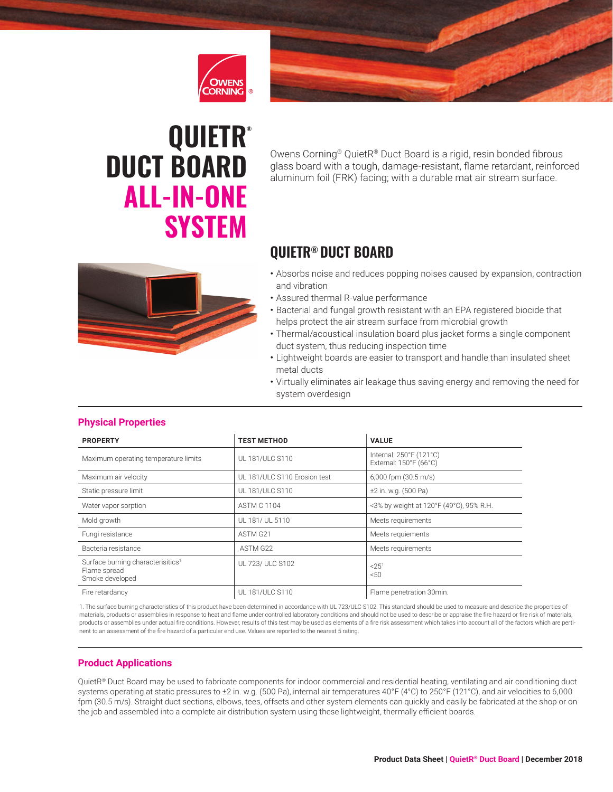



# **QUIETR® DUCT BOARD ALL-IN-ONE SYSTEM**

Owens Corning® QuietR® Duct Board is a rigid, resin bonded fibrous glass board with a tough, damage-resistant, flame retardant, reinforced aluminum foil (FRK) facing; with a durable mat air stream surface.

# **QUIETR® DUCT BOARD**

- 
- Absorbs noise and reduces popping noises caused by expansion, contraction and vibration
- Assured thermal R-value performance
- Bacterial and fungal growth resistant with an EPA registered biocide that helps protect the air stream surface from microbial growth
- Thermal/acoustical insulation board plus jacket forms a single component duct system, thus reducing inspection time
- Lightweight boards are easier to transport and handle than insulated sheet metal ducts
- Virtually eliminates air leakage thus saving energy and removing the need for system overdesign

| <b>PROPERTY</b>                                                                  | <b>TEST METHOD</b>           | <b>VALUE</b>                                      |
|----------------------------------------------------------------------------------|------------------------------|---------------------------------------------------|
| Maximum operating temperature limits                                             | UL 181/ULC S110              | Internal: 250°F (121°C)<br>External: 150°F (66°C) |
| Maximum air velocity                                                             | UL 181/ULC S110 Erosion test | $6,000$ fpm $(30.5 \text{ m/s})$                  |
| Static pressure limit                                                            | UL 181/ULC S110              | ±2 in. w.g. (500 Pa)                              |
| Water vapor sorption                                                             | <b>ASTM C 1104</b>           | <3% by weight at 120°F (49°C), 95% R.H.           |
| Mold growth                                                                      | UL 181/ UL 5110              | Meets requirements                                |
| Fungi resistance                                                                 | ASTM G <sub>21</sub>         | Meets requiements                                 |
| Bacteria resistance                                                              | ASTM G22                     | Meets requirements                                |
| Surface burning characterisitics <sup>1</sup><br>Flame spread<br>Smoke developed | UL 723/ ULC S102             | $< 25^1$<br>50                                    |
| Fire retardancy                                                                  | UL 181/ULC S110              | Flame penetration 30min.                          |

#### **Physical Properties**

1. The surface burning characteristics of this product have been determined in accordance with UL 723/ULC S102. This standard should be used to measure and describe the properties of materials, products or assemblies in response to heat and flame under controlled laboratory conditions and should not be used to describe or appraise the fire hazard or fire risk of materials, products or assemblies under actual fire conditions. However, results of this test may be used as elements of a fire risk assessment which takes into account all of the factors which are pertinent to an assessment of the fire hazard of a particular end use. Values are reported to the nearest 5 rating.

#### **Product Applications**

QuietR® Duct Board may be used to fabricate components for indoor commercial and residential heating, ventilating and air conditioning duct systems operating at static pressures to ±2 in. w.g. (500 Pa), internal air temperatures 40°F (4°C) to 250°F (121°C), and air velocities to 6,000 fpm (30.5 m/s). Straight duct sections, elbows, tees, offsets and other system elements can quickly and easily be fabricated at the shop or on the job and assembled into a complete air distribution system using these lightweight, thermally efficient boards.